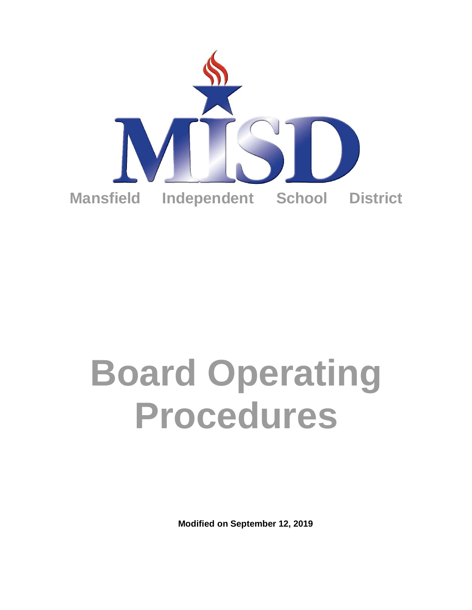

# **Board Operating Procedures**

**Modified on September 12, 2019**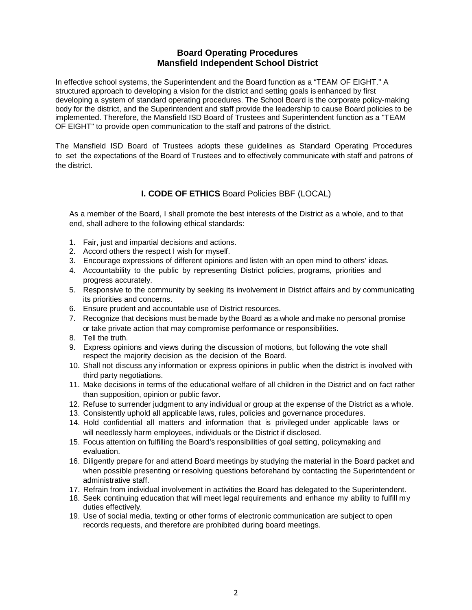# **Board Operating Procedures Mansfield Independent School District**

In effective school systems, the Superintendent and the Board function as a "TEAM OF EIGHT." A structured approach to developing a vision for the district and setting goals is enhanced by first developing a system of standard operating procedures. The School Board is the corporate policy-making body for the district, and the Superintendent and staff provide the leadership to cause Board policies to be implemented. Therefore, the Mansfield ISD Board of Trustees and Superintendent function as a "TEAM OF EIGHT" to provide open communication to the staff and patrons of the district.

The Mansfield ISD Board of Trustees adopts these guidelines as Standard Operating Procedures to set the expectations of the Board of Trustees and to effectively communicate with staff and patrons of the district.

# **I. CODE OF ETHICS** Board Policies BBF (LOCAL)

As a member of the Board, I shall promote the best interests of the District as a whole, and to that end, shall adhere to the following ethical standards:

- 1. Fair, just and impartial decisions and actions.
- 2. Accord others the respect I wish for myself.
- 3. Encourage expressions of different opinions and listen with an open mind to others' ideas.
- 4. Accountability to the public by representing District policies, programs, priorities and progress accurately.
- 5. Responsive to the community by seeking its involvement in District affairs and by communicating its priorities and concerns.
- 6. Ensure prudent and accountable use of District resources.
- 7. Recognize that decisions must be made by the Board as a whole and make no personal promise or take private action that may compromise performance or responsibilities.
- 8. Tell the truth.
- 9. Express opinions and views during the discussion of motions, but following the vote shall respect the majority decision as the decision of the Board.
- 10. Shall not discuss any information or express opinions in public when the district is involved with third party negotiations.
- 11. Make decisions in terms of the educational welfare of all children in the District and on fact rather than supposition, opinion or public favor.
- 12. Refuse to surrender judgment to any individual or group at the expense of the District as a whole.
- 13. Consistently uphold all applicable laws, rules, policies and governance procedures.
- 14. Hold confidential all matters and information that is privileged under applicable laws or will needlessly harm employees, individuals or the District if disclosed.
- 15. Focus attention on fulfilling the Board's responsibilities of goal setting, policymaking and evaluation.
- 16. Diligently prepare for and attend Board meetings by studying the material in the Board packet and when possible presenting or resolving questions beforehand by contacting the Superintendent or administrative staff.
- 17. Refrain from individual involvement in activities the Board has delegated to the Superintendent.
- 18. Seek continuing education that will meet legal requirements and enhance my ability to fulfill my duties effectively.
- 19. Use of social media, texting or other forms of electronic communication are subject to open records requests, and therefore are prohibited during board meetings.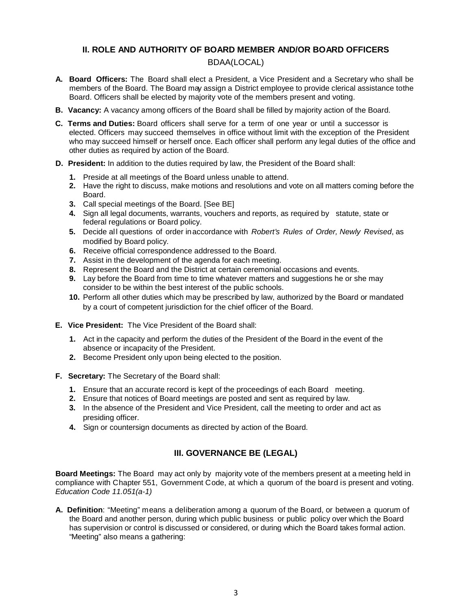# **II. ROLE AND AUTHORITY OF BOARD MEMBER AND/OR BOARD OFFICERS**

# BDAA(LOCAL)

- **A. Board Officers:** The Board shall elect a President, a Vice President and a Secretary who shall be members of the Board. The Board may assign a District employee to provide clerical assistance tothe Board. Officers shall be elected by majority vote of the members present and voting.
- **B. Vacancy:** A vacancy among officers of the Board shall be filled by majority action of the Board.
- **C. Terms and Duties:** Board officers shall serve for a term of one year or until a successor is elected. Officers may succeed themselves in office without limit with the exception of the President who may succeed himself or herself once. Each officer shall perform any legal duties of the office and other duties as required by action of the Board.
- **D. President:** In addition to the duties required by law, the President of the Board shall:
	- **1.** Preside at all meetings of the Board unless unable to attend.
	- **2.** Have the right to discuss, make motions and resolutions and vote on all matters coming before the Board.
	- **3.** Call special meetings of the Board. [See BE]
	- **4.** Sign all legal documents, warrants, vouchers and reports, as required by statute, state or federal regulations or Board policy.
	- **5.** Decide al l questions of order inaccordance with *Robert's Rules of Order, Newly Revised*, as modified by Board policy.
	- **6.** Receive official correspondence addressed to the Board.
	- **7.** Assist in the development of the agenda for each meeting.
	- **8.** Represent the Board and the District at certain ceremonial occasions and events.
	- **9.** Lay before the Board from time to time whatever matters and suggestions he or she may consider to be within the best interest of the public schools.
	- **10.** Perform all other duties which may be prescribed by law, authorized by the Board or mandated by a court of competent jurisdiction for the chief officer of the Board.
- **E. Vice President:** The Vice President of the Board shall:
	- **1.** Act in the capacity and perform the duties of the President of the Board in the event of the absence or incapacity of the President.
	- **2.** Become President only upon being elected to the position.
- **F. Secretary:** The Secretary of the Board shall:
	- **1.** Ensure that an accurate record is kept of the proceedings of each Board meeting.
	- **2.** Ensure that notices of Board meetings are posted and sent as required by law.
	- **3.** In the absence of the President and Vice President, call the meeting to order and act as presiding officer.
	- **4.** Sign or countersign documents as directed by action of the Board.

# **III. GOVERNANCE BE (LEGAL)**

**Board Meetings:** The Board may act only by majority vote of the members present at a meeting held in compliance with Chapter 551, Government Code, at which a quorum of the board is present and voting. *Education Code 11.051(a-1)*

**A. Definition**: "Meeting" means a deliberation among a quorum of the Board, or between a quorum of the Board and another person, during which public business or public policy over which the Board has supervision or control is discussed or considered, or during which the Board takes formal action. "Meeting" also means a gathering: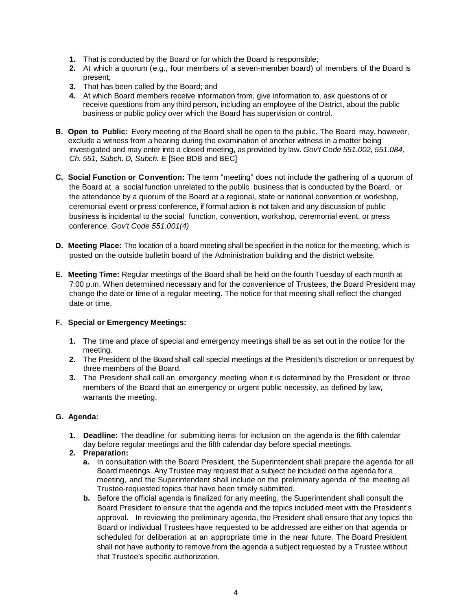- **1.** That is conducted by the Board or for which the Board is responsible;
- **2.** At which a quorum (e.g., four members of a seven-member board) of members of the Board is present;
- **3.** That has been called by the Board; and
- **4.** At which Board members receive information from, give information to, ask questions of or receive questions from any third person, including an employee of the District, about the public business or public policy over which the Board has supervision or control.
- **B. Open to Public:** Every meeting of the Board shall be open to the public. The Board may, however, exclude a witness from a hearing during the examination of another witness in a matter being investigated and may enter into a closed meeting, as provided by law. *Gov't Code 551.002, 551.084, Ch. 551, Subch. D, Subch. E* [See BDB and BEC]
- **C. Social Function or Convention:** The term "meeting" does not include the gathering of a quorum of the Board at a social function unrelated to the public business that is conducted by the Board, or the attendance by a quorum of the Board at a regional, state or national convention or workshop, ceremonial event or press conference, if formal action is not taken and any discussion of public business is incidental to the social function, convention, workshop, ceremonial event, or press conference. *Gov't Code 551.001(4)*
- **D. Meeting Place:** The location of a board meeting shall be specified in the notice for the meeting, which is posted on the outside bulletin board of the Administration building and the district website.
- **E. Meeting Time:** Regular meetings of the Board shall be held on the fourth Tuesday of each month at 7:00 p.m. When determined necessary and for the convenience of Trustees, the Board President may change the date or time of a regular meeting. The notice for that meeting shall reflect the changed date or time.

# **F. Special or Emergency Meetings:**

- **1.** The time and place of special and emergency meetings shall be as set out in the notice for the meeting.
- **2.** The President of the Board shall call special meetings at the President's discretion or on request by three members of the Board.
- **3.** The President shall call an emergency meeting when it is determined by the President or three members of the Board that an emergency or urgent public necessity, as defined by law, warrants the meeting.

### **G. Agenda:**

- **1. Deadline:** The deadline for submitting items for inclusion on the agenda is the fifth calendar day before regular meetings and the fifth calendar day before special meetings.
- **2. Preparation:**
	- **a.** In consultation with the Board President, the Superintendent shall prepare the agenda for all Board meetings. Any Trustee may request that a subject be included on the agenda for a meeting, and the Superintendent shall include on the preliminary agenda of the meeting all Trustee-requested topics that have been timely submitted.
	- **b.** Before the official agenda is finalized for any meeting, the Superintendent shall consult the Board President to ensure that the agenda and the topics included meet with the President's approval. In reviewing the preliminary agenda, the President shall ensure that any topics the Board or individual Trustees have requested to be addressed are either on that agenda or scheduled for deliberation at an appropriate time in the near future. The Board President shall not have authority to remove from the agenda a subject requested by a Trustee without that Trustee's specific authorization*.*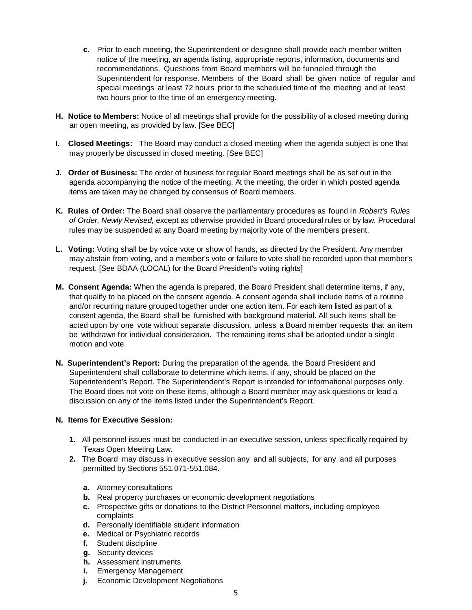- **c.** Prior to each meeting, the Superintendent or designee shall provide each member written notice of the meeting, an agenda listing, appropriate reports, information, documents and recommendations. Questions from Board members will be funneled through the Superintendent for response. Members of the Board shall be given notice of regular and special meetings at least 72 hours prior to the scheduled time of the meeting and at least two hours prior to the time of an emergency meeting.
- **H. Notice to Members:** Notice of all meetings shall provide for the possibility of a closed meeting during an open meeting, as provided by law. [See BEC]
- **I. Closed Meetings:** The Board may conduct a closed meeting when the agenda subject is one that may properly be discussed in closed meeting. [See BEC]
- **J. Order of Business:** The order of business for regular Board meetings shall be as set out in the agenda accompanying the notice of the meeting. At the meeting, the order in which posted agenda items are taken may be changed by consensus of Board members.
- **K. Rules of Order:** The Board shall observe the parliamentary procedures as found in *Robert's Rules of Order, Newly Revised,* except as otherwise provided in Board procedural rules or by law. Procedural rules may be suspended at any Board meeting by majority vote of the members present.
- **L. Voting:** Voting shall be by voice vote or show of hands, as directed by the President. Any member may abstain from voting, and a member's vote or failure to vote shall be recorded upon that member's request. [See BDAA (LOCAL) for the Board President's voting rights]
- **M. Consent Agenda:** When the agenda is prepared, the Board President shall determine items, if any, that qualify to be placed on the consent agenda. A consent agenda shall include items of a routine and/or recurring nature grouped together under one action item. For each item listed as part of a consent agenda, the Board shall be furnished with background material. All such items shall be acted upon by one vote without separate discussion, unless a Board member requests that an item be withdrawn for individual consideration. The remaining items shall be adopted under a single motion and vote.
- **N. Superintendent's Report:** During the preparation of the agenda, the Board President and Superintendent shall collaborate to determine which items, if any, should be placed on the Superintendent's Report. The Superintendent's Report is intended for informational purposes only. The Board does not vote on these items, although a Board member may ask questions or lead a discussion on any of the items listed under the Superintendent's Report.

### **N. Items for Executive Session:**

- **1.** All personnel issues must be conducted in an executive session, unless specifically required by Texas Open Meeting Law.
- **2.** The Board may discuss in executive session any and all subjects, for any and all purposes permitted by Sections 551.071-551.084.
	- **a.** Attorney consultations
	- **b.** Real property purchases or economic development negotiations
	- **c.** Prospective gifts or donations to the District Personnel matters, including employee complaints
	- **d.** Personally identifiable student information
	- **e.** Medical or Psychiatric records
	- **f.** Student discipline
	- **g.** Security devices
	- **h.** Assessment instruments
	- **i.** Emergency Management
	- **j.** Economic Development Negotiations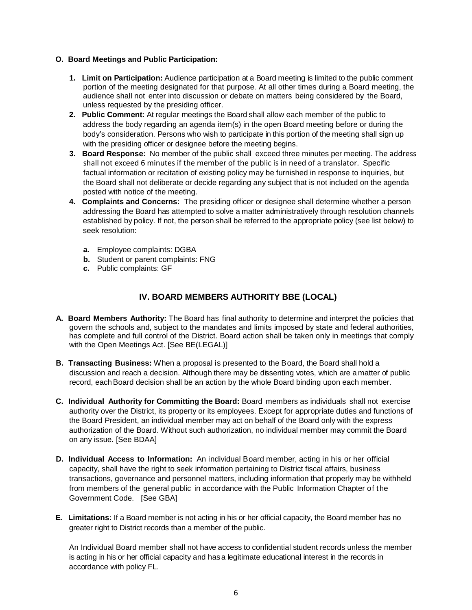# **O. Board Meetings and Public Participation:**

- **1. Limit on Participation:** Audience participation at a Board meeting is limited to the public comment portion of the meeting designated for that purpose. At all other times during a Board meeting, the audience shall not enter into discussion or debate on matters being considered by the Board, unless requested by the presiding officer.
- **2. Public Comment:** At regular meetings the Board shall allow each member of the public to address the body regarding an agenda item(s) in the open Board meeting before or during the body's consideration. Persons who wish to participate in this portion of the meeting shall sign up with the presiding officer or designee before the meeting begins.
- **3. Board Response:** No member of the public shall exceed three minutes per meeting. The address shall not exceed 6 minutes if the member of the public is in need of a translator. Specific factual information or recitation of existing policy may be furnished in response to inquiries, but the Board shall not deliberate or decide regarding any subject that is not included on the agenda posted with notice of the meeting.
- **4. Complaints and Concerns:** The presiding officer or designee shall determine whether a person addressing the Board has attempted to solve a matter administratively through resolution channels established by policy. If not, the person shall be referred to the appropriate policy (see list below) to seek resolution:
	- **a.** Employee complaints: DGBA
	- **b.** Student or parent complaints: FNG
	- **c.** Public complaints: GF

# **IV. BOARD MEMBERS AUTHORITY BBE (LOCAL)**

- **A. Board Members Authority:** The Board has final authority to determine and interpret the policies that govern the schools and, subject to the mandates and limits imposed by state and federal authorities, has complete and full control of the District. Board action shall be taken only in meetings that comply with the Open Meetings Act. [See BE(LEGAL)]
- **B. Transacting Business:** When a proposal is presented to the Board, the Board shall hold a discussion and reach a decision. Although there may be dissenting votes, which are a matter of public record, each Board decision shall be an action by the whole Board binding upon each member.
- **C. Individual Authority for Committing the Board:** Board members as individuals shall not exercise authority over the District, its property or its employees. Except for appropriate duties and functions of the Board President, an individual member may act on behalf of the Board only with the express authorization of the Board. Without such authorization, no individual member may commit the Board on any issue. [See BDAA]
- **D. Individual Access to Information:** An individual Board member, acting in his or her official capacity, shall have the right to seek information pertaining to District fiscal affairs, business transactions, governance and personnel matters, including information that properly may be withheld from members of the general public in accordance with the Public Information Chapter of the Government Code. [See GBA]
- **E. Limitations:** If a Board member is not acting in his or her official capacity, the Board member has no greater right to District records than a member of the public.

An Individual Board member shall not have access to confidential student records unless the member is acting in his or her official capacity and hasa legitimate educational interest in the records in accordance with policy FL.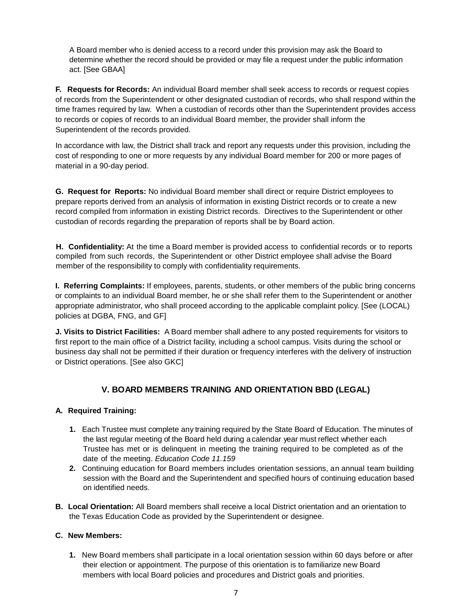A Board member who is denied access to a record under this provision may ask the Board to determine whether the record should be provided or may file a request under the public information act. [See GBAA]

**F. Requests for Records:** An individual Board member shall seek access to records or request copies of records from the Superintendent or other designated custodian of records, who shall respond within the time frames required by law. When a custodian of records other than the Superintendent provides access to records or copies of records to an individual Board member, the provider shall inform the Superintendent of the records provided.

In accordance with law, the District shall track and report any requests under this provision, including the cost of responding to one or more requests by any individual Board member for 200 or more pages of material in a 90-day period.

**G. Request for Reports:** No individual Board member shall direct or require District employees to prepare reports derived from an analysis of information in existing District records or to create a new record compiled from information in existing District records. Directives to the Superintendent or other custodian of records regarding the preparation of reports shall be by Board action.

**H. Confidentiality:** At the time a Board member is provided access to confidential records or to reports compiled from such records, the Superintendent or other District employee shall advise the Board member of the responsibility to comply with confidentiality requirements.

**I. Referring Complaints:** If employees, parents, students, or other members of the public bring concerns or complaints to an individual Board member, he or she shall refer them to the Superintendent or another appropriate administrator, who shall proceed according to the applicable complaint policy. [See (LOCAL) policies at DGBA, FNG, and GF]

**J. Visits to District Facilities:** A Board member shall adhere to any posted requirements for visitors to first report to the main office of a District facility, including a school campus. Visits during the school or business day shall not be permitted if their duration or frequency interferes with the delivery of instruction or District operations. [See also GKC]

# **V. BOARD MEMBERS TRAINING AND ORIENTATION BBD (LEGAL)**

# **A. Required Training:**

- **1.** Each Trustee must complete any training required by the State Board of Education. The minutes of the last regular meeting of the Board held during a calendar year must reflect whether each Trustee has met or is delinquent in meeting the training required to be completed as of the date of the meeting. *Education Code 11.159*
- **2.** Continuing education for Board members includes orientation sessions, an annual team building session with the Board and the Superintendent and specified hours of continuing education based on identified needs.
- **B. Local Orientation:** All Board members shall receive a local District orientation and an orientation to the Texas Education Code as provided by the Superintendent or designee.

# **C. New Members:**

**1.** New Board members shall participate in a local orientation session within 60 days before or after their election or appointment. The purpose of this orientation is to familiarize new Board members with local Board policies and procedures and District goals and priorities.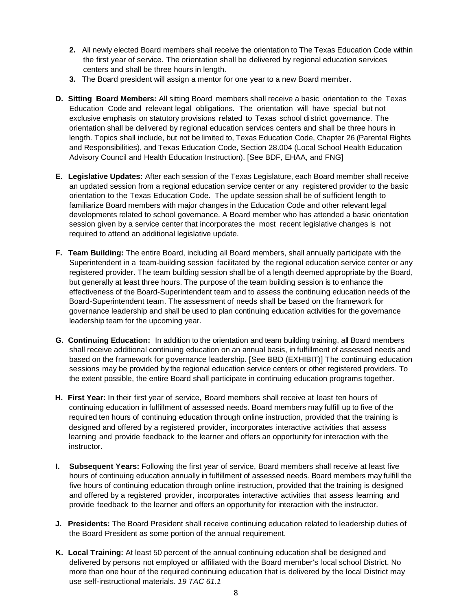- **2.** All newly elected Board members shall receive the orientation to The Texas Education Code within the first year of service. The orientation shall be delivered by regional education services centers and shall be three hours in length.
- **3.** The Board president will assign a mentor for one year to a new Board member.
- **D. Sitting Board Members:** All sitting Board members shall receive a basic orientation to the Texas Education Code and relevant legal obligations. The orientation will have special but not exclusive emphasis on statutory provisions related to Texas school district governance. The orientation shall be delivered by regional education services centers and shall be three hours in length. Topics shall include, but not be limited to, Texas Education Code, Chapter 26 (Parental Rights and Responsibilities), and Texas Education Code, Section 28.004 (Local School Health Education Advisory Council and Health Education Instruction). [See BDF, EHAA, and FNG]
- **E. Legislative Updates:** After each session of the Texas Legislature, each Board member shall receive an updated session from a regional education service center or any registered provider to the basic orientation to the Texas Education Code. The update session shall be of sufficient length to familiarize Board members with major changes in the Education Code and other relevant legal developments related to school governance. A Board member who has attended a basic orientation session given by a service center that incorporates the most recent legislative changes is not required to attend an additional legislative update.
- **F. Team Building:** The entire Board, including all Board members, shall annually participate with the Superintendent in a team-building session facilitated by the regional education service center or any registered provider. The team building session shall be of a length deemed appropriate by the Board, but generally at least three hours. The purpose of the team building session is to enhance the effectiveness of the Board-Superintendent team and to assess the continuing education needs of the Board-Superintendent team. The assessment of needs shall be based on the framework for governance leadership and shall be used to plan continuing education activities for the governance leadership team for the upcoming year.
- **G. Continuing Education:** In addition to the orientation and team building training, all Board members shall receive additional continuing education on an annual basis, in fulfillment of assessed needs and based on the framework for governance leadership. [See BBD (EXHIBIT)] The continuing education sessions may be provided by the regional education service centers or other registered providers. To the extent possible, the entire Board shall participate in continuing education programs together.
- **H. First Year:** In their first year of service, Board members shall receive at least ten hours of continuing education in fulfillment of assessed needs. Board members may fulfill up to five of the required ten hours of continuing education through online instruction, provided that the training is designed and offered by a registered provider, incorporates interactive activities that assess learning and provide feedback to the learner and offers an opportunity for interaction with the instructor.
- **I. Subsequent Years:** Following the first year of service, Board members shall receive at least five hours of continuing education annually in fulfillment of assessed needs. Board members may fulfill the five hours of continuing education through online instruction, provided that the training is designed and offered by a registered provider, incorporates interactive activities that assess learning and provide feedback to the learner and offers an opportunity for interaction with the instructor.
- **J. Presidents:** The Board President shall receive continuing education related to leadership duties of the Board President as some portion of the annual requirement.
- **K. Local Training:** At least 50 percent of the annual continuing education shall be designed and delivered by persons not employed or affiliated with the Board member's local school District. No more than one hour of the required continuing education that is delivered by the local District may use self-instructional materials. *19 TAC 61.1*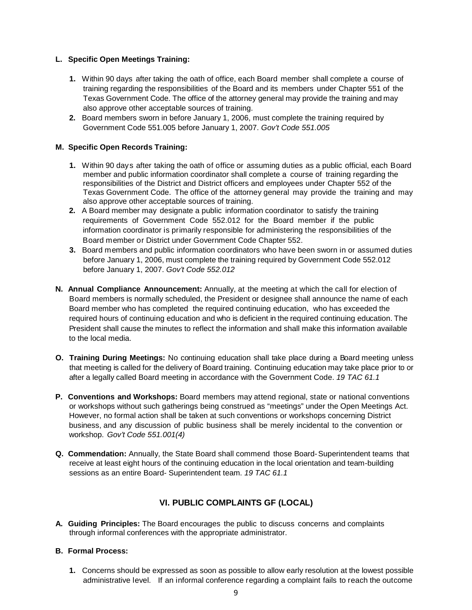# **L. Specific Open Meetings Training:**

- **1.** Within 90 days after taking the oath of office, each Board member shall complete a course of training regarding the responsibilities of the Board and its members under Chapter 551 of the Texas Government Code. The office of the attorney general may provide the training and may also approve other acceptable sources of training.
- **2.** Board members sworn in before January 1, 2006, must complete the training required by Government Code 551.005 before January 1, 2007. *Gov't Code 551.005*

### **M. Specific Open Records Training:**

- **1.** Within 90 days after taking the oath of office or assuming duties as a public official, each Board member and public information coordinator shall complete a course of training regarding the responsibilities of the District and District officers and employees under Chapter 552 of the Texas Government Code. The office of the attorney general may provide the training and may also approve other acceptable sources of training.
- **2.** A Board member may designate a public information coordinator to satisfy the training requirements of Government Code 552.012 for the Board member if the public information coordinator is primarily responsible for administering the responsibilities of the Board member or District under Government Code Chapter 552.
- **3.** Board members and public information coordinators who have been sworn in or assumed duties before January 1, 2006, must complete the training required by Government Code 552.012 before January 1, 2007. *Gov't Code 552.012*
- **N. Annual Compliance Announcement:** Annually, at the meeting at which the call for election of Board members is normally scheduled, the President or designee shall announce the name of each Board member who has completed the required continuing education, who has exceeded the required hours of continuing education and who is deficient in the required continuing education. The President shall cause the minutes to reflect the information and shall make this information available to the local media.
- **O. Training During Meetings:** No continuing education shall take place during a Board meeting unless that meeting is called for the delivery of Board training. Continuing education may take place prior to or after a legally called Board meeting in accordance with the Government Code. *19 TAC 61.1*
- **P. Conventions and Workshops:** Board members may attend regional, state or national conventions or workshops without such gatherings being construed as "meetings" under the Open Meetings Act. However, no formal action shall be taken at such conventions or workshops concerning District business, and any discussion of public business shall be merely incidental to the convention or workshop. *Gov't Code 551.001(4)*
- **Q. Commendation:** Annually, the State Board shall commend those Board-Superintendent teams that receive at least eight hours of the continuing education in the local orientation and team-building sessions as an entire Board- Superintendent team. *19 TAC 61.1*

# **VI. PUBLIC COMPLAINTS GF (LOCAL)**

**A. Guiding Principles:** The Board encourages the public to discuss concerns and complaints through informal conferences with the appropriate administrator.

### **B. Formal Process:**

**1.** Concerns should be expressed as soon as possible to allow early resolution at the lowest possible administrative level. If an informal conference regarding a complaint fails to reach the outcome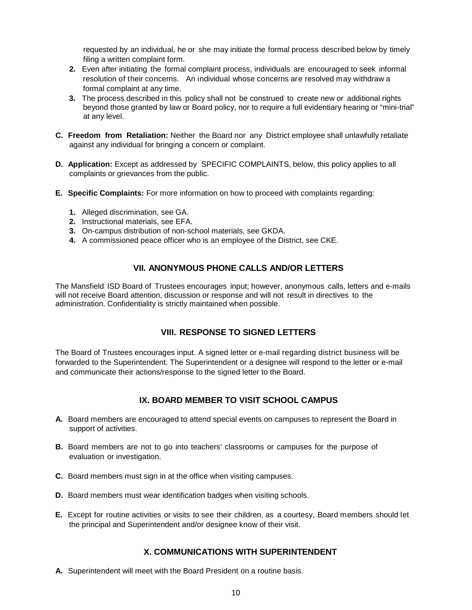requested by an individual, he or she may initiate the formal process described below by timely filing a written complaint form.

- **2.** Even after initiating the formal complaint process, individuals are encouraged to seek informal resolution of their concerns. An individual whose concerns are resolved may withdraw a formal complaint at any time.
- **3.** The process described in this policy shall not be construed to create new or additional rights beyond those granted by law or Board policy, nor to require a full evidentiary hearing or "mini-trial" at any level.
- **C. Freedom from Retaliation:** Neither the Board nor any District employee shall unlawfully retaliate against any individual for bringing a concern or complaint.
- **D. Application:** Except as addressed by SPECIFIC COMPLAINTS, below, this policy applies to all complaints or grievances from the public.
- **E. Specific Complaints:** For more information on how to proceed with complaints regarding:
	- **1.** Alleged discrimination, see GA.
	- **2.** Instructional materials, see EFA.
	- **3.** On-campus distribution of non-school materials, see GKDA.
	- **4.** A commissioned peace officer who is an employee of the District, see CKE.

# **VII. ANONYMOUS PHONE CALLS AND/OR LETTERS**

The Mansfield ISD Board of Trustees encourages input; however, anonymous calls, letters and e-mails will not receive Board attention, discussion or response and will not result in directives to the administration. Confidentiality is strictly maintained when possible.

# **VIII. RESPONSE TO SIGNED LETTERS**

The Board of Trustees encourages input. A signed letter or e-mail regarding district business will be forwarded to the Superintendent. The Superintendent or a designee will respond to the letter or e-mail and communicate their actions/response to the signed letter to the Board.

# **IX. BOARD MEMBER TO VISIT SCHOOL CAMPUS**

- **A.** Board members are encouraged to attend special events on campuses to represent the Board in support of activities.
- **B.** Board members are not to go into teachers' classrooms or campuses for the purpose of evaluation or investigation.
- **C.** Board members must sign in at the office when visiting campuses.
- **D.** Board members must wear identification badges when visiting schools.
- **E.** Except for routine activities or visits to see their children, as a courtesy, Board members should let the principal and Superintendent and/or designee know of their visit.

# **X. COMMUNICATIONS WITH SUPERINTENDENT**

**A.** Superintendent will meet with the Board President on a routine basis.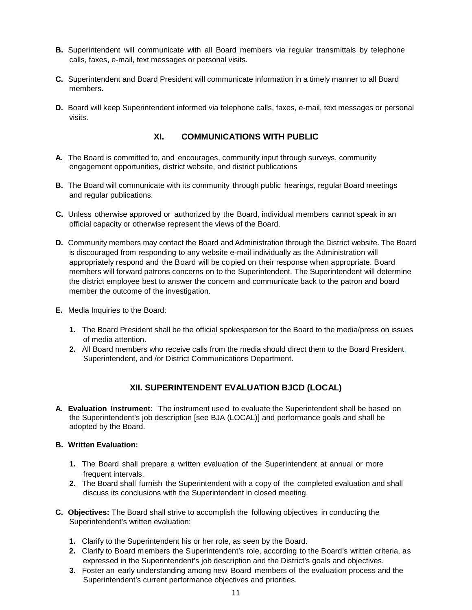- **B.** Superintendent will communicate with all Board members via regular transmittals by telephone calls, faxes, e-mail, text messages or personal visits.
- **C.** Superintendent and Board President will communicate information in a timely manner to all Board members.
- **D.** Board will keep Superintendent informed via telephone calls, faxes, e-mail, text messages or personal visits.

# **XI. COMMUNICATIONS WITH PUBLIC**

- **A.** The Board is committed to, and encourages, community input through surveys, community engagement opportunities, district website, and district publications
- **B.** The Board will communicate with its community through public hearings, regular Board meetings and regular publications.
- **C.** Unless otherwise approved or authorized by the Board, individual members cannot speak in an official capacity or otherwise represent the views of the Board.
- **D.** Community members may contact the Board and Administration through the District website. The Board is discouraged from responding to any website e-mail individually as the Administration will appropriately respond and the Board will be co pied on their response when appropriate. Board members will forward patrons concerns on to the Superintendent. The Superintendent will determine the district employee best to answer the concern and communicate back to the patron and board member the outcome of the investigation.
- **E.** Media Inquiries to the Board:
	- **1.** The Board President shall be the official spokesperson for the Board to the media/press on issues of media attention.
	- **2.** All Board members who receive calls from the media should direct them to the Board President, Superintendent, and /or District Communications Department.

# **XII. SUPERINTENDENT EVALUATION BJCD (LOCAL)**

**A. Evaluation Instrument:** The instrument used to evaluate the Superintendent shall be based on the Superintendent's job description [see BJA (LOCAL)] and performance goals and shall be adopted by the Board.

### **B. Written Evaluation:**

- **1.** The Board shall prepare a written evaluation of the Superintendent at annual or more frequent intervals.
- **2.** The Board shall furnish the Superintendent with a copy of the completed evaluation and shall discuss its conclusions with the Superintendent in closed meeting.
- **C. Objectives:** The Board shall strive to accomplish the following objectives in conducting the Superintendent's written evaluation:
	- **1.** Clarify to the Superintendent his or her role, as seen by the Board.
	- **2.** Clarify to Board members the Superintendent's role, according to the Board's written criteria, as expressed in the Superintendent's job description and the District's goals and objectives.
	- **3.** Foster an early understanding among new Board members of the evaluation process and the Superintendent's current performance objectives and priorities.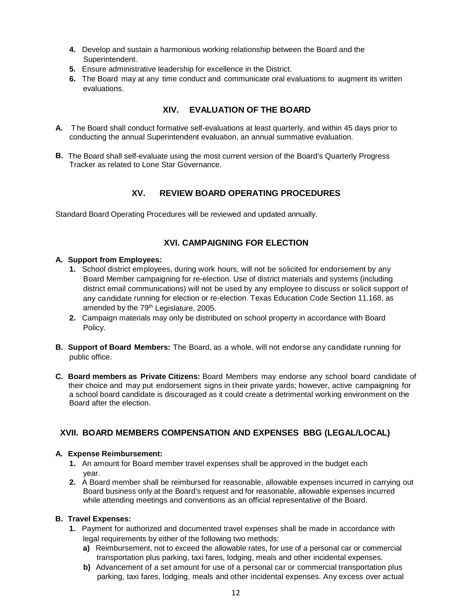- **4.** Develop and sustain a harmonious working relationship between the Board and the Superintendent.
- **5.** Ensure administrative leadership for excellence in the District.
- **6.** The Board may at any time conduct and communicate oral evaluations to augment its written evaluations.

# **XIV. EVALUATION OF THE BOARD**

- **A.** The Board shall conduct formative self-evaluations at least quarterly, and within 45 days prior to conducting the annual Superintendent evaluation, an annual summative evaluation.
- **B.** The Board shall self-evaluate using the most current version of the Board's Quarterly Progress Tracker as related to Lone Star Governance.

# **XV. REVIEW BOARD OPERATING PROCEDURES**

Standard Board Operating Procedures will be reviewed and updated annually.

# **XVI. CAMPAIGNING FOR ELECTION**

### **A. Support from Employees:**

- **1.** School district employees, during work hours, will not be solicited for endorsement by any Board Member campaigning for re-election. Use of district materials and systems (including district email communications) will not be used by any employee to discuss or solicit support of any candidate running for election or re-election. Texas Education Code Section 11.168, as amended by the 79<sup>th</sup> Legislature, 2005.
- **2.** Campaign materials may only be distributed on school property in accordance with Board Policy.
- **B. Support of Board Members:** The Board, as a whole, will not endorse any candidate running for public office.
- **C. Board members as Private Citizens:** Board Members may endorse any school board candidate of their choice and may put endorsement signs in their private yards; however, active campaigning for a school board candidate is discouraged as it could create a detrimental working environment on the Board after the election.

# **XVII. BOARD MEMBERS COMPENSATION AND EXPENSES BBG (LEGAL/LOCAL)**

# **A. Expense Reimbursement:**

- **1.** An amount for Board member travel expenses shall be approved in the budget each year.
- **2.** A Board member shall be reimbursed for reasonable, allowable expenses incurred in carrying out Board business only at the Board's request and for reasonable, allowable expenses incurred while attending meetings and conventions as an official representative of the Board.

# **B. Travel Expenses:**

- **1.** Payment for authorized and documented travel expenses shall be made in accordance with legal requirements by either of the following two methods:
	- **a)** Reimbursement, not to exceed the allowable rates, for use of a personal car or commercial transportation plus parking, taxi fares, lodging, meals and other incidental expenses.
	- **b)** Advancement of a set amount for use of a personal car or commercial transportation plus parking, taxi fares, lodging, meals and other incidental expenses. Any excess over actual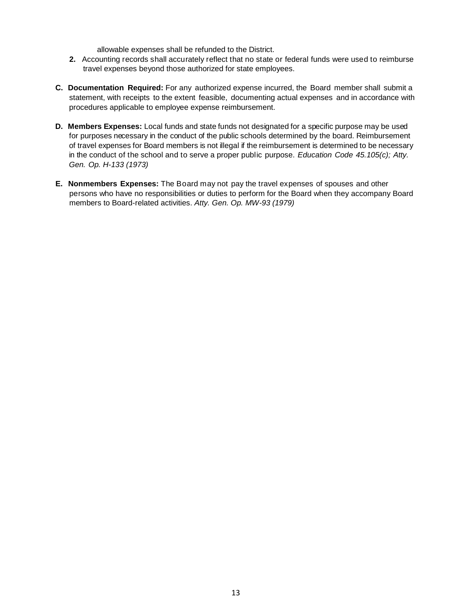allowable expenses shall be refunded to the District.

- **2.** Accounting records shall accurately reflect that no state or federal funds were used to reimburse travel expenses beyond those authorized for state employees.
- **C. Documentation Required:** For any authorized expense incurred, the Board member shall submit a statement, with receipts to the extent feasible, documenting actual expenses and in accordance with procedures applicable to employee expense reimbursement.
- **D. Members Expenses:** Local funds and state funds not designated for a specific purpose may be used for purposes necessary in the conduct of the public schools determined by the board. Reimbursement of travel expenses for Board members is not illegal if the reimbursement is determined to be necessary in the conduct of the school and to serve a proper public purpose. *Education Code 45.105(c); Atty. Gen. Op. H-133 (1973)*
- **E. Nonmembers Expenses:** The Board may not pay the travel expenses of spouses and other persons who have no responsibilities or duties to perform for the Board when they accompany Board members to Board-related activities. *Atty. Gen. Op. MW-93 (1979)*